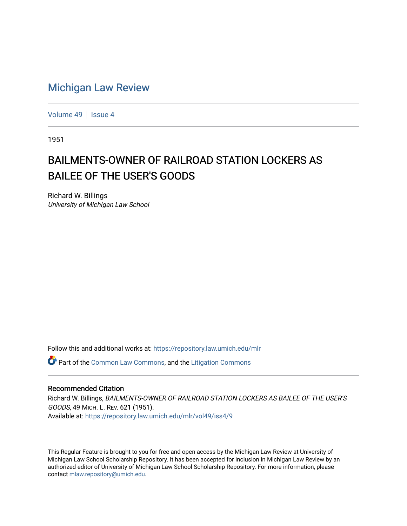## [Michigan Law Review](https://repository.law.umich.edu/mlr)

[Volume 49](https://repository.law.umich.edu/mlr/vol49) | [Issue 4](https://repository.law.umich.edu/mlr/vol49/iss4)

1951

## BAILMENTS-OWNER OF RAILROAD STATION LOCKERS AS BAILEE OF THE USER'S GOODS

Richard W. Billings University of Michigan Law School

Follow this and additional works at: [https://repository.law.umich.edu/mlr](https://repository.law.umich.edu/mlr?utm_source=repository.law.umich.edu%2Fmlr%2Fvol49%2Fiss4%2F9&utm_medium=PDF&utm_campaign=PDFCoverPages) 

Part of the [Common Law Commons,](http://network.bepress.com/hgg/discipline/1120?utm_source=repository.law.umich.edu%2Fmlr%2Fvol49%2Fiss4%2F9&utm_medium=PDF&utm_campaign=PDFCoverPages) and the [Litigation Commons](http://network.bepress.com/hgg/discipline/910?utm_source=repository.law.umich.edu%2Fmlr%2Fvol49%2Fiss4%2F9&utm_medium=PDF&utm_campaign=PDFCoverPages) 

## Recommended Citation

Richard W. Billings, BAILMENTS-OWNER OF RAILROAD STATION LOCKERS AS BAILEE OF THE USER'S GOODS, 49 MICH. L. REV. 621 (1951). Available at: [https://repository.law.umich.edu/mlr/vol49/iss4/9](https://repository.law.umich.edu/mlr/vol49/iss4/9?utm_source=repository.law.umich.edu%2Fmlr%2Fvol49%2Fiss4%2F9&utm_medium=PDF&utm_campaign=PDFCoverPages)

This Regular Feature is brought to you for free and open access by the Michigan Law Review at University of Michigan Law School Scholarship Repository. It has been accepted for inclusion in Michigan Law Review by an authorized editor of University of Michigan Law School Scholarship Repository. For more information, please contact [mlaw.repository@umich.edu](mailto:mlaw.repository@umich.edu).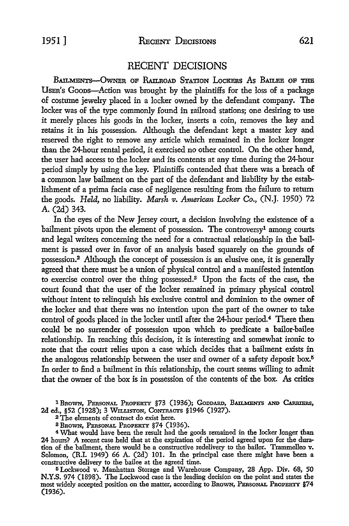## RECENT DECISIONS

BAILMENTS-OWNER OF RAILROAD STATION LOCKERS AS BAILEE OF THE USER's Goons-Action was brought by the plaintiffs for the loss of a package of costume jewelry placed in a locker owned by the defendant company. The locker was of the type commonly found in railroad stations; one desiring to use it merely places his goods in the locker, inserts a coin, removes the key and retains it in his possession. Although the defendant kept a master key and reserved the right to remove any article which remained in the locker longer than the 24-hour rental period, it exercised no other control. On the other hand, the user had access to the locker and its contents at any time during the 24-hour period simply by using the key. Plaintiffs contended that there was a breach of a common law bailment on the part of the defendant and liability by the establishment of a prima facia case of negligence resulting from the failure to return the goods. *Held*, no liability. *Marsh v. American Locker Co.*, (N.J. 1950) 72. A. (2d) 343.

In the eyes of the New Jersey court, a decision involving the existence of a bailment pivots upon the element of possession. The controversy<sup>1</sup> among courts and legal writers concerning the need for a contractual relationship in the bailment is passed over in favor of an analysis based squarely on the grounds of possession.<sup>2</sup>Although the concept of possession is an elusive one, it is generally agreed that there must be a union of physical control and a manifested intention to exercise control over the thing possessed.<sup>3</sup> Upon the facts of the case, the court found that the user of the locker remained in primary physical control without intent to relinquish his exclusive control and dominion to the owner of the locker and that there was no intention upon the part of the owner to take control of goods placed in the locker until after the 24-hour period.<sup>4</sup> There then could be no surrender of possession upon which to predicate a bailor-bailee relationship. In reaching this decision, it is interesting and somewhat ironic to note that the court relies upon a case which decides that a bailment exists in the analogous relationship between the user and owner of a safety deposit box.<sup>5</sup> In order to find a bailment in this relationship, the court seems willing to admit that the owner of the box is in possession of the contents of the box. As critics

<sup>1</sup> Brown, Personal Property §73 (1936); Goddard, Bailments and Carriers, 2d ed., §52 (1928); 3 WILLISTON, CoNTRACTS §1946 (1927).

<sup>2</sup>The elements of contract do exist here.

3 BROWN, PERSONAL PnoPERTY §74 (1936).

<sup>4</sup>What would have been the result had the goods remained in the locker longer than 24 hours? A recent case held that at the expiration of the period agreed upon for the duration of the bailment, there would be a constructive redelivery to the bailor. Trammelleo v. Solomon, (R.I. 1949) 66 A. (2d) 101. In the principal case there might have been a constructive delivery to the bailee at the agreed time.

ti Lockwood v. Manhattan Storage and Warehouse Company, 28 App. Div. 68, 50 **N.Y.S.** 974 (1898). The Lockwood case is the leading decision on the point and states the most widely accepted position on the matter, according to BROWN, PERSONAL PROPERTY §74 (1936).